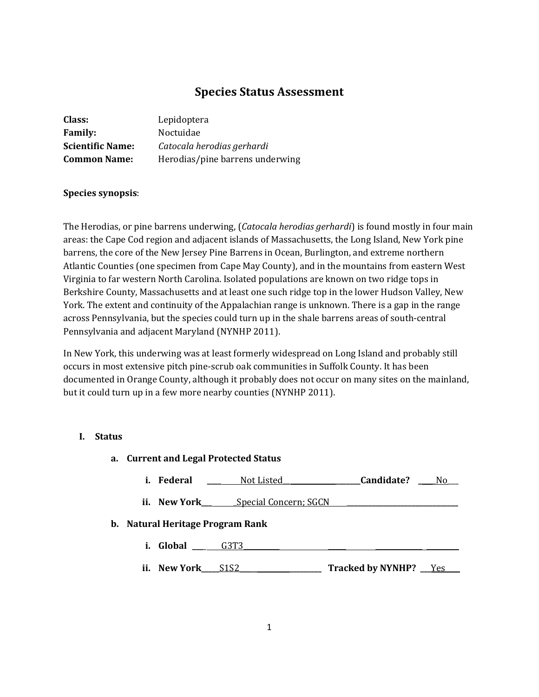# **Species Status Assessment**

| Class:                  | Lepidoptera                     |
|-------------------------|---------------------------------|
| <b>Family:</b>          | Noctuidae                       |
| <b>Scientific Name:</b> | Catocala herodias gerhardi      |
| <b>Common Name:</b>     | Herodias/pine barrens underwing |

## **Species synopsis**:

The Herodias, or pine barrens underwing, (*Catocala herodias gerhardi*) is found mostly in four main areas: the Cape Cod region and adjacent islands of Massachusetts, the Long Island, New York pine barrens, the core of the New Jersey Pine Barrens in Ocean, Burlington, and extreme northern Atlantic Counties (one specimen from Cape May County), and in the mountains from eastern West Virginia to far western North Carolina. Isolated populations are known on two ridge tops in Berkshire County, Massachusetts and at least one such ridge top in the lower Hudson Valley, New York. The extent and continuity of the Appalachian range is unknown. There is a gap in the range across Pennsylvania, but the species could turn up in the shale barrens areas of south-central Pennsylvania and adjacent Maryland (NYNHP 2011).

In New York, this underwing was at least formerly widespread on Long Island and probably still occurs in most extensive pitch pine-scrub oak communities in Suffolk County. It has been documented in Orange County, although it probably does not occur on many sites on the mainland, but it could turn up in a few more nearby counties (NYNHP 2011).

#### **I. Status**

| a. Current and Legal Protected Status |                   |                                  |                                |  |
|---------------------------------------|-------------------|----------------------------------|--------------------------------|--|
|                                       | i. Federal        | Not Listed                       | <b>Candidate?</b><br>No.       |  |
|                                       |                   |                                  |                                |  |
|                                       |                   | b. Natural Heritage Program Rank |                                |  |
| i.                                    | Global G3T3       |                                  |                                |  |
|                                       | ii. New York S1S2 |                                  | <b>Tracked by NYNHP?</b> __Yes |  |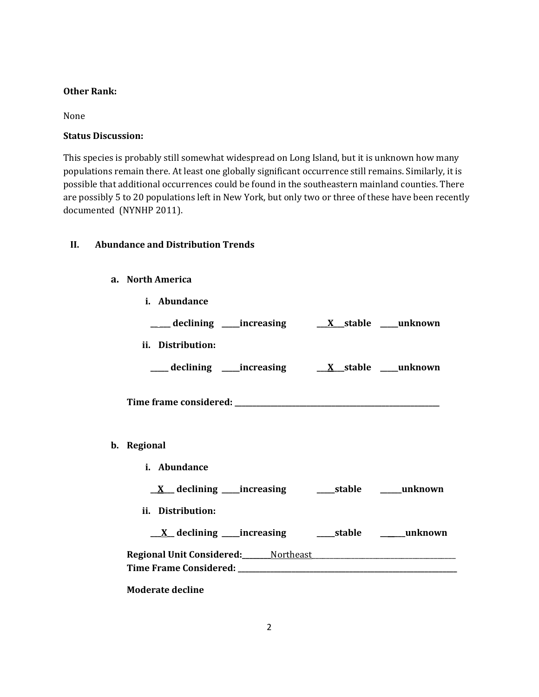## **Other Rank:**

None

# **Status Discussion:**

This species is probably still somewhat widespread on Long Island, but it is unknown how many populations remain there. At least one globally significant occurrence still remains. Similarly, it is possible that additional occurrences could be found in the southeastern mainland counties. There are possibly 5 to 20 populations left in New York, but only two or three of these have been recently documented (NYNHP 2011).

# **II. Abundance and Distribution Trends**

## **a. North America**

| i. Abundance                                                                                                   |
|----------------------------------------------------------------------------------------------------------------|
| ___declining ___increasing ___ <u>X</u> _stable ___unknown                                                     |
| ii. Distribution:                                                                                              |
| ___ declining ____increasing ____ <u>X</u> __stable ____unknown                                                |
|                                                                                                                |
| b. Regional                                                                                                    |
| i. Abundance                                                                                                   |
|                                                                                                                |
| ii. Distribution:                                                                                              |
|                                                                                                                |
| Regional Unit Considered: Mortheast Manual Manual Manual Manual Manual Manual Manual Manual Manual Manual Manu |
| <b>Moderate decline</b>                                                                                        |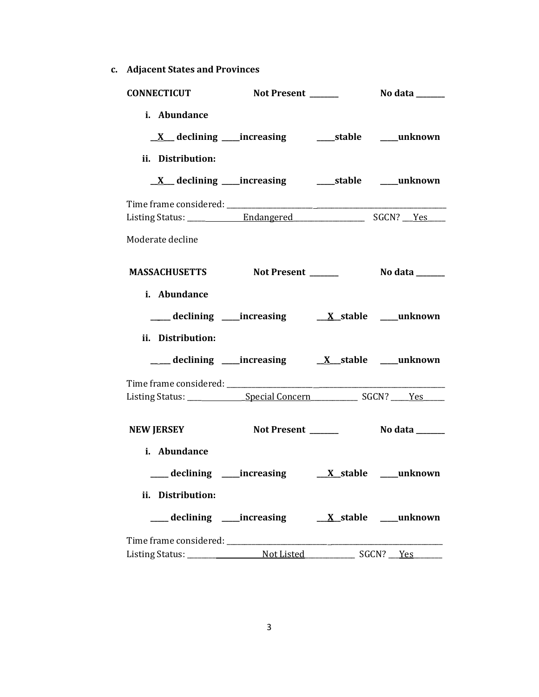**c. Adjacent States and Provinces**

| <b>CONNECTICUT</b>                                                           |             |                |
|------------------------------------------------------------------------------|-------------|----------------|
| i. Abundance<br>ii. Distribution:                                            |             |                |
|                                                                              |             |                |
|                                                                              |             |                |
| Moderate decline                                                             |             |                |
|                                                                              |             |                |
| i. Abundance                                                                 |             |                |
|                                                                              |             |                |
| ii. Distribution:                                                            |             |                |
|                                                                              |             |                |
|                                                                              |             |                |
| <b>NEW JERSEY</b>                                                            | Not Present | No data ______ |
| i. Abundance<br>___ declining ____increasing ____ <u>X_stable __</u> unknown |             |                |
| ii. Distribution:                                                            |             |                |
| ___ declining ____increasing ____ <u>X_stable __</u> _unknown                |             |                |
|                                                                              |             |                |
|                                                                              |             |                |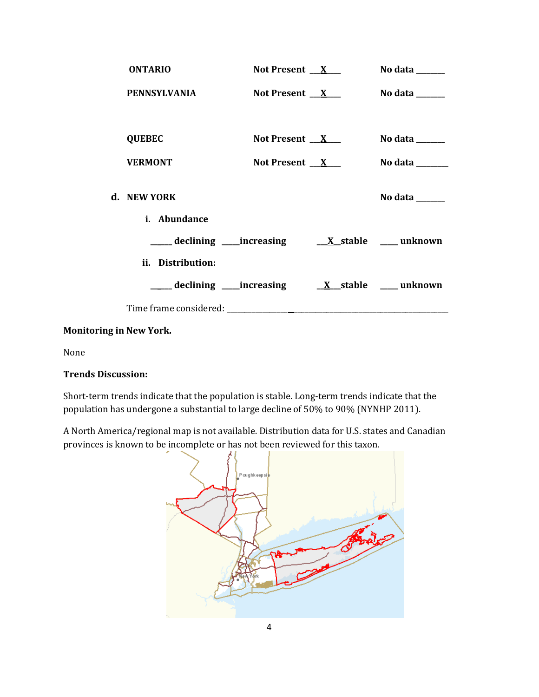| <b>ONTARIO</b>      | Not Present $X_{-}$      | No data $\_\_\_\_\_\_\_\_\_\_\_\_\$ |
|---------------------|--------------------------|-------------------------------------|
| <b>PENNSYLVANIA</b> | Not Present $X_{-}$      | No data ______                      |
|                     |                          |                                     |
| <b>QUEBEC</b>       | Not Present $X_{-}$      | No data $\_\_\_\_\_\_\_\_\_\_\_\_\$ |
| <b>VERMONT</b>      | Not Present $\mathbf{X}$ | No data $\qquad \qquad$             |
| d. NEW YORK         |                          | No data $\_\_$                      |
| <i>i.</i> Abundance |                          |                                     |
|                     |                          |                                     |
| ii. Distribution:   |                          |                                     |
|                     |                          |                                     |
|                     |                          |                                     |

# **Monitoring in New York.**

None

## **Trends Discussion:**

Short-term trends indicate that the population is stable. Long-term trends indicate that the population has undergone a substantial to large decline of 50% to 90% (NYNHP 2011).

A North America/regional map is not available. Distribution data for U.S. states and Canadian provinces is known to be incomplete or has not been reviewed for this taxon.

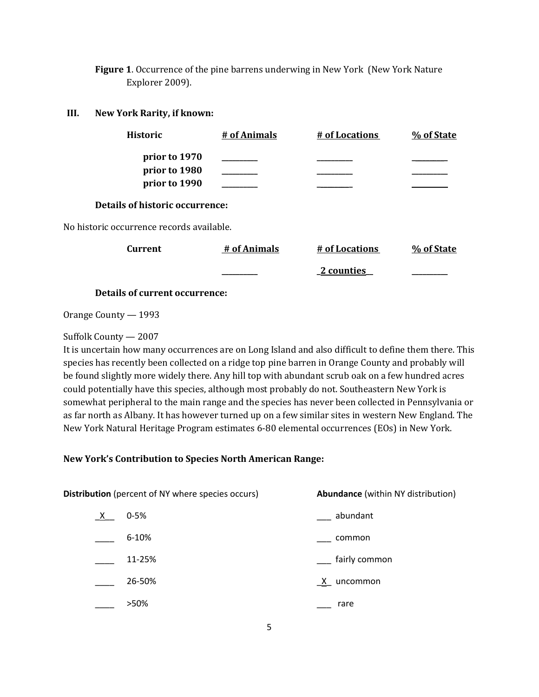**Figure 1**. Occurrence of the pine barrens underwing in New York (New York Nature Explorer 2009).

#### **III. New York Rarity, if known:**

| <b>Historic</b>                                 | # of Animals | # of Locations | % of State |
|-------------------------------------------------|--------------|----------------|------------|
| prior to 1970<br>prior to 1980<br>prior to 1990 |              |                |            |
| Details of historic occurrence:                 |              |                |            |
| No historic occurrence records available.       |              |                |            |
| <b>Current</b>                                  | # of Animals | # of Locations | % of State |
|                                                 |              | 2 counties     |            |

## **Details of current occurrence:**

Orange County — 1993

# Suffolk County — 2007

It is uncertain how many occurrences are on Long Island and also difficult to define them there. This species has recently been collected on a ridge top pine barren in Orange County and probably will be found slightly more widely there. Any hill top with abundant scrub oak on a few hundred acres could potentially have this species, although most probably do not. Southeastern New York is somewhat peripheral to the main range and the species has never been collected in Pennsylvania or as far north as Albany. It has however turned up on a few similar sites in western New England. The New York Natural Heritage Program estimates 6-80 elemental occurrences (EOs) in New York.

# **New York's Contribution to Species North American Range:**

| <b>Distribution</b> (percent of NY where species occurs) |           | <b>Abundance</b> (within NY distribution) |  |
|----------------------------------------------------------|-----------|-------------------------------------------|--|
| X                                                        | $0 - 5%$  | abundant                                  |  |
|                                                          | $6 - 10%$ | common                                    |  |
|                                                          | 11-25%    | fairly common                             |  |
|                                                          | 26-50%    | X uncommon                                |  |
|                                                          | >50%      | rare                                      |  |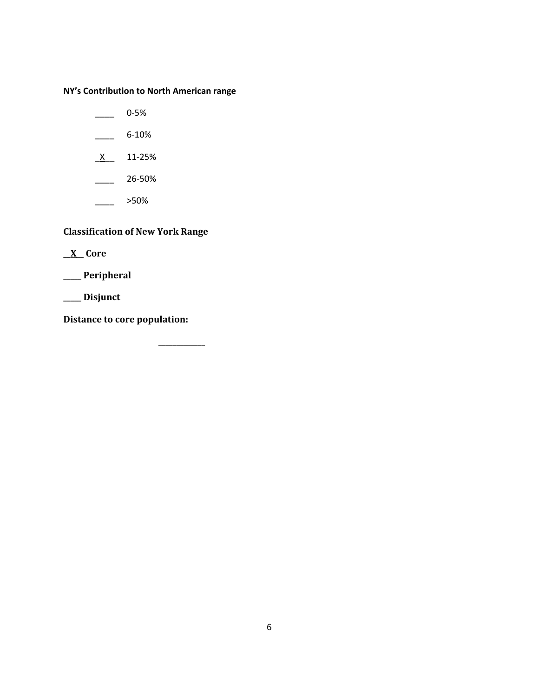**NY's Contribution to North American range**

- $\frac{1}{2}$  0-5%
- $\frac{6-10\%}{2}$
- $X$  11-25%
- \_\_\_\_ 26-50%
- \_\_\_\_ >50%

**Classification of New York Range**

**\_\_X\_\_ Core**

**\_\_\_\_\_ Peripheral**

**\_\_\_\_\_ Disjunct**

**Distance to core population:**

**\_\_\_\_\_\_\_\_\_\_\_\_\_**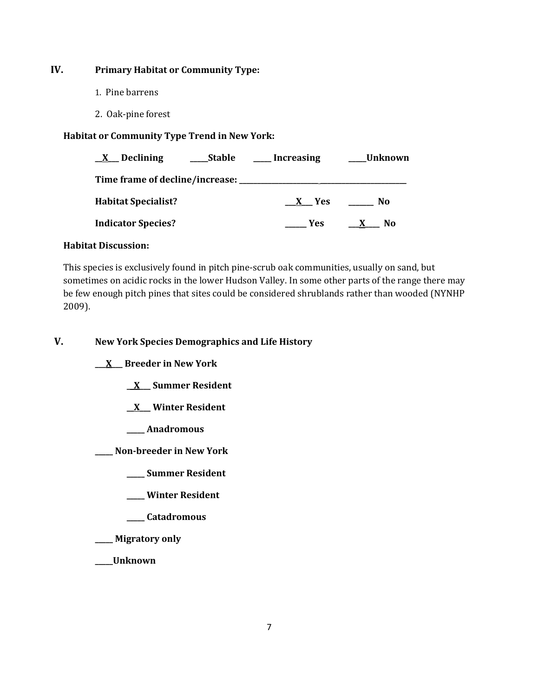# **IV. Primary Habitat or Community Type:**

- 1. Pine barrens
- 2. Oak-pine forest

# **Habitat or Community Type Trend in New York:**

| Declining<br>$\mathbf{X}$  | <b>Stable</b> | <b>Increasing</b> | Unknown            |
|----------------------------|---------------|-------------------|--------------------|
|                            |               |                   |                    |
| <b>Habitat Specialist?</b> |               | X Yes             | No                 |
| <b>Indicator Species?</b>  |               | Yes               | No<br>$\mathbf{X}$ |

## **Habitat Discussion:**

This species is exclusively found in pitch pine-scrub oak communities, usually on sand, but sometimes on acidic rocks in the lower Hudson Valley. In some other parts of the range there may be few enough pitch pines that sites could be considered shrublands rather than wooded (NYNHP 2009).

# **V. New York Species Demographics and Life History**

**\_\_\_X\_\_\_ Breeder in New York**

**\_\_X\_\_\_ Summer Resident**

**\_\_X\_\_\_ Winter Resident**

**\_\_\_\_\_ Anadromous**

**\_\_\_\_\_ Non-breeder in New York**

- **\_\_\_\_\_ Summer Resident**
- **\_\_\_\_\_ Winter Resident**
- **\_\_\_\_\_ Catadromous**
- **\_\_\_\_\_ Migratory only**

**\_\_\_\_\_Unknown**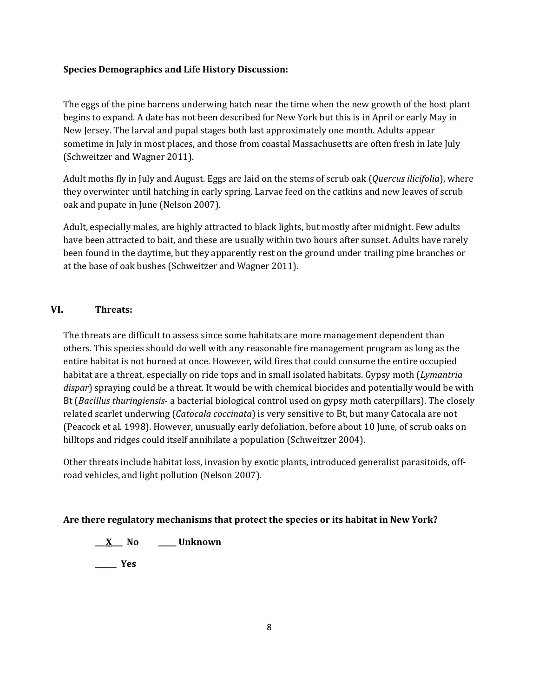## **Species Demographics and Life History Discussion:**

The eggs of the pine barrens underwing hatch near the time when the new growth of the host plant begins to expand. A date has not been described for New York but this is in April or early May in New Jersey. The larval and pupal stages both last approximately one month. Adults appear sometime in July in most places, and those from coastal Massachusetts are often fresh in late July (Schweitzer and Wagner 2011).

Adult moths fly in July and August. Eggs are laid on the stems of scrub oak (*Quercus ilicifolia*), where they overwinter until hatching in early spring. Larvae feed on the catkins and new leaves of scrub oak and pupate in June (Nelson 2007).

Adult, especially males, are highly attracted to black lights, but mostly after midnight. Few adults have been attracted to bait, and these are usually within two hours after sunset. Adults have rarely been found in the daytime, but they apparently rest on the ground under trailing pine branches or at the base of oak bushes (Schweitzer and Wagner 2011).

# **VI. Threats:**

The threats are difficult to assess since some habitats are more management dependent than others. This species should do well with any reasonable fire management program as long as the entire habitat is not burned at once. However, wild fires that could consume the entire occupied habitat are a threat, especially on ride tops and in small isolated habitats. Gypsy moth (*Lymantria dispar*) spraying could be a threat. It would be with chemical biocides and potentially would be with Bt (*Bacillus thuringiensis*- a bacterial biological control used on gypsy moth caterpillars). The closely related scarlet underwing (*Catocala coccinata*) is very sensitive to Bt, but many Catocala are not (Peacock et al. 1998). However, unusually early defoliation, before about 10 June, of scrub oaks on hilltops and ridges could itself annihilate a population (Schweitzer 2004).

Other threats include habitat loss, invasion by exotic plants, introduced generalist parasitoids, offroad vehicles, and light pollution (Nelson 2007).

# **Are there regulatory mechanisms that protect the species or its habitat in New York?**

**\_\_\_X\_\_\_ No \_\_\_\_\_ Unknown**

**\_\_\_\_\_\_ Yes**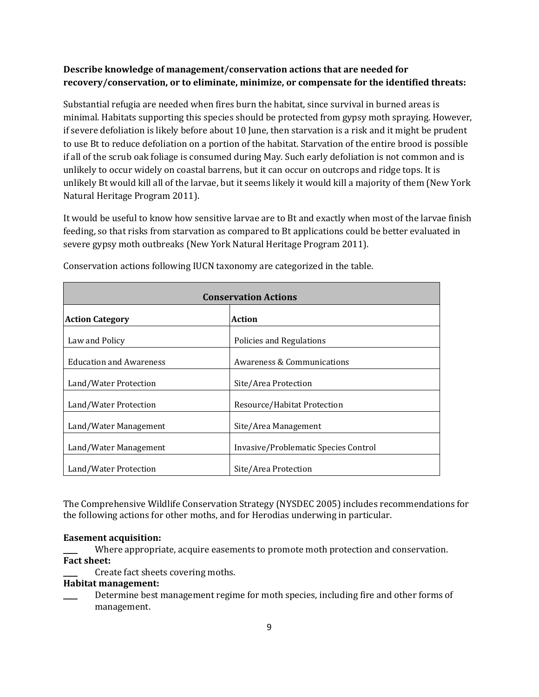# **Describe knowledge of management/conservation actions that are needed for recovery/conservation, or to eliminate, minimize, or compensate for the identified threats:**

Substantial refugia are needed when fires burn the habitat, since survival in burned areas is minimal. Habitats supporting this species should be protected from gypsy moth spraying. However, if severe defoliation is likely before about 10 June, then starvation is a risk and it might be prudent to use Bt to reduce defoliation on a portion of the habitat. Starvation of the entire brood is possible if all of the scrub oak foliage is consumed during May. Such early defoliation is not common and is unlikely to occur widely on coastal barrens, but it can occur on outcrops and ridge tops. It is unlikely Bt would kill all of the larvae, but it seems likely it would kill a majority of them (New York Natural Heritage Program 2011).

It would be useful to know how sensitive larvae are to Bt and exactly when most of the larvae finish feeding, so that risks from starvation as compared to Bt applications could be better evaluated in severe gypsy moth outbreaks (New York Natural Heritage Program 2011).

| <b>Conservation Actions</b>    |                                      |  |
|--------------------------------|--------------------------------------|--|
| <b>Action Category</b>         | Action                               |  |
| Law and Policy                 | Policies and Regulations             |  |
| <b>Education and Awareness</b> | Awareness & Communications           |  |
| Land/Water Protection          | Site/Area Protection                 |  |
| Land/Water Protection          | Resource/Habitat Protection          |  |
| Land/Water Management          | Site/Area Management                 |  |
| Land/Water Management          | Invasive/Problematic Species Control |  |
| Land/Water Protection          | Site/Area Protection                 |  |

Conservation actions following IUCN taxonomy are categorized in the table.

The Comprehensive Wildlife Conservation Strategy (NYSDEC 2005) includes recommendations for the following actions for other moths, and for Herodias underwing in particular.

#### **Easement acquisition:**

Where appropriate, acquire easements to promote moth protection and conservation. **Fact sheet:**

Create fact sheets covering moths.

#### **Habitat management:**

Determine best management regime for moth species, including fire and other forms of management.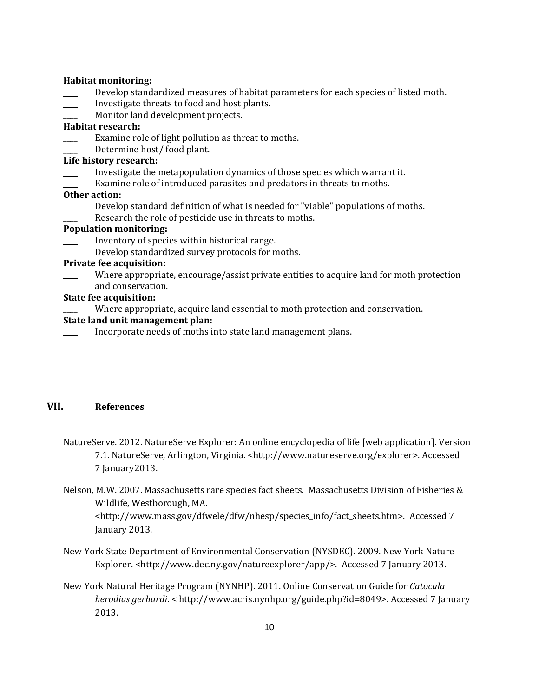#### **Habitat monitoring:**

- Develop standardized measures of habitat parameters for each species of listed moth.
- \_\_\_\_ Investigate threats to food and host plants.
	- Monitor land development projects.

# **Habitat research:**

- Examine role of light pollution as threat to moths.
- Determine host/ food plant.

#### **Life history research:**

- Investigate the metapopulation dynamics of those species which warrant it.
- Examine role of introduced parasites and predators in threats to moths.

#### **Other action:**

- Develop standard definition of what is needed for "viable" populations of moths.
- Research the role of pesticide use in threats to moths.

# **Population monitoring:**

- Inventory of species within historical range.
- Develop standardized survey protocols for moths.

#### **Private fee acquisition:**

Where appropriate, encourage/assist private entities to acquire land for moth protection and conservation.

#### **State fee acquisition:**

Where appropriate, acquire land essential to moth protection and conservation.

#### **State land unit management plan:**

\_\_\_\_ Incorporate needs of moths into state land management plans.

# **VII. References**

- NatureServe. 2012. NatureServe Explorer: An online encyclopedia of life [web application]. Version 7.1. NatureServe, Arlington, Virginia. <http://www.natureserve.org/explorer>. Accessed 7 January2013.
- Nelson, M.W. 2007. Massachusetts rare species fact sheets. Massachusetts Division of Fisheries & Wildlife, Westborough, MA.

<http://www.mass.gov/dfwele/dfw/nhesp/species\_info/fact\_sheets.htm>. Accessed 7 January 2013.

- New York State Department of Environmental Conservation (NYSDEC). 2009. New York Nature Explorer. <http://www.dec.ny.gov/natureexplorer/app/>. Accessed 7 January 2013.
- New York Natural Heritage Program (NYNHP). 2011. Online Conservation Guide for *Catocala herodias gerhardi*. < http://www.acris.nynhp.org/guide.php?id=8049>. Accessed 7 January 2013.